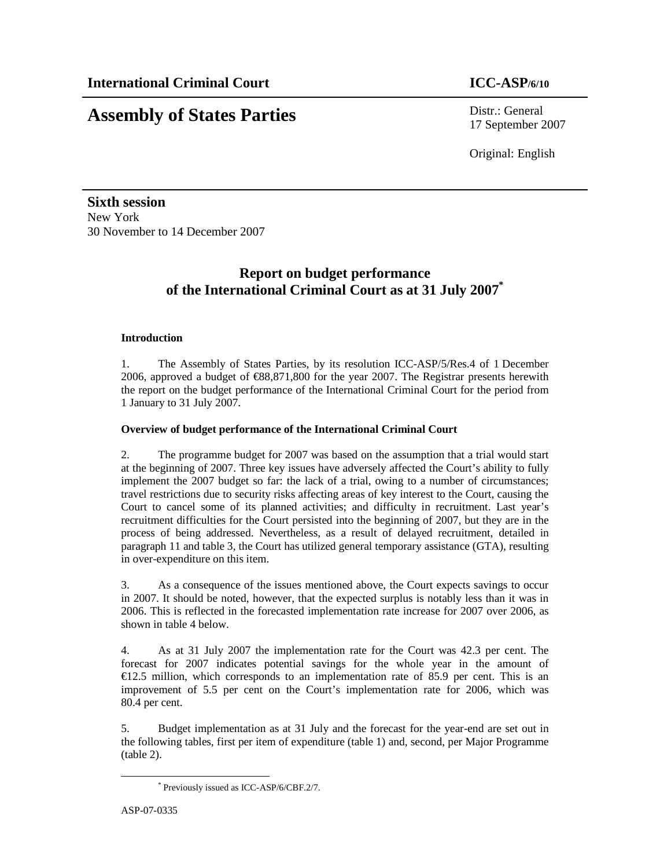# **Assembly of States Parties** Distr.: General

17 September 2007

Original: English

**Sixth session**  New York 30 November to 14 December 2007

## **Report on budget performance of the International Criminal Court as at 31 July 2007\***

## **Introduction**

1. The Assembly of States Parties, by its resolution ICC-ASP/5/Res.4 of 1 December 2006, approved a budget of €88,871,800 for the year 2007. The Registrar presents herewith the report on the budget performance of the International Criminal Court for the period from 1 January to 31 July 2007.

## **Overview of budget performance of the International Criminal Court**

2. The programme budget for 2007 was based on the assumption that a trial would start at the beginning of 2007. Three key issues have adversely affected the Court's ability to fully implement the 2007 budget so far: the lack of a trial, owing to a number of circumstances; travel restrictions due to security risks affecting areas of key interest to the Court, causing the Court to cancel some of its planned activities; and difficulty in recruitment. Last year's recruitment difficulties for the Court persisted into the beginning of 2007, but they are in the process of being addressed. Nevertheless, as a result of delayed recruitment, detailed in paragraph 11 and table 3, the Court has utilized general temporary assistance (GTA), resulting in over-expenditure on this item.

3. As a consequence of the issues mentioned above, the Court expects savings to occur in 2007. It should be noted, however, that the expected surplus is notably less than it was in 2006. This is reflected in the forecasted implementation rate increase for 2007 over 2006, as shown in table 4 below.

4. As at 31 July 2007 the implementation rate for the Court was 42.3 per cent. The forecast for 2007 indicates potential savings for the whole year in the amount of  $E12.5$  million, which corresponds to an implementation rate of 85.9 per cent. This is an improvement of 5.5 per cent on the Court's implementation rate for 2006, which was 80.4 per cent.

5. Budget implementation as at 31 July and the forecast for the year-end are set out in the following tables, first per item of expenditure (table 1) and, second, per Major Programme (table 2).

-

<sup>\*</sup> Previously issued as ICC-ASP/6/CBF.2/7.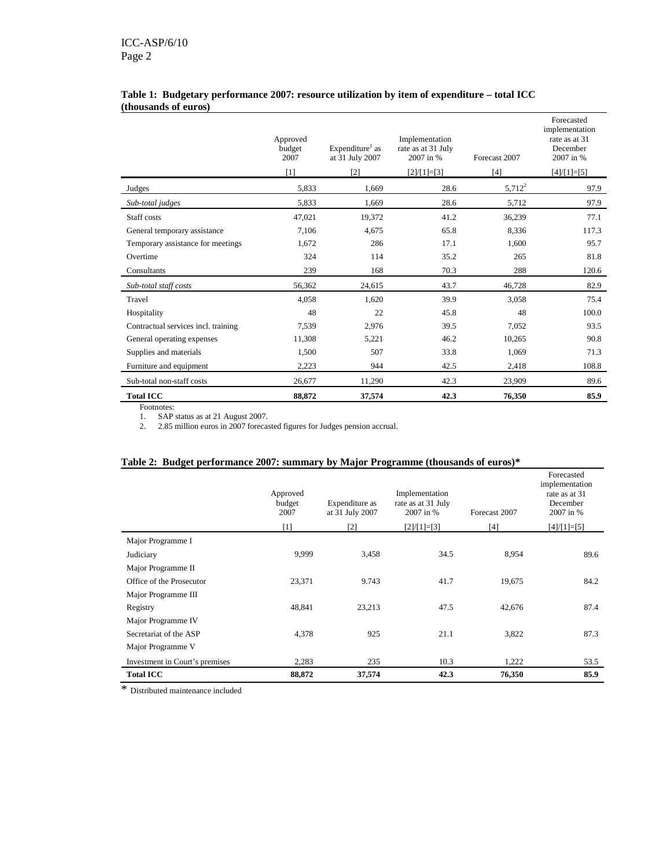|                                     | Approved<br>budget<br>2007<br>[1] | Expenditure <sup>1</sup> as<br>at 31 July 2007<br>[2] | Implementation<br>rate as at 31 July<br>2007 in %<br>$[2]/[1]=[3]$ | Forecast 2007<br>$[4]$ | Forecasted<br>implementation<br>rate as at 31<br>December<br>2007 in %<br>$[4]/[1]=[5]$ |
|-------------------------------------|-----------------------------------|-------------------------------------------------------|--------------------------------------------------------------------|------------------------|-----------------------------------------------------------------------------------------|
| Judges                              | 5,833                             | 1,669                                                 | 28.6                                                               | $5,712^2$              | 97.9                                                                                    |
| Sub-total judges                    | 5,833                             | 1.669                                                 | 28.6                                                               | 5,712                  | 97.9                                                                                    |
| Staff costs                         | 47,021                            | 19,372                                                | 41.2                                                               | 36,239                 | 77.1                                                                                    |
| General temporary assistance        | 7,106                             | 4,675                                                 | 65.8                                                               | 8,336                  | 117.3                                                                                   |
| Temporary assistance for meetings   | 1,672                             | 286                                                   | 17.1                                                               | 1,600                  | 95.7                                                                                    |
| Overtime                            | 324                               | 114                                                   | 35.2                                                               | 265                    | 81.8                                                                                    |
| Consultants                         | 239                               | 168                                                   | 70.3                                                               | 288                    | 120.6                                                                                   |
| Sub-total staff costs               | 56.362                            | 24,615                                                | 43.7                                                               | 46,728                 | 82.9                                                                                    |
| Travel                              | 4,058                             | 1,620                                                 | 39.9                                                               | 3,058                  | 75.4                                                                                    |
| Hospitality                         | 48                                | 22                                                    | 45.8                                                               | 48                     | 100.0                                                                                   |
| Contractual services incl. training | 7,539                             | 2,976                                                 | 39.5                                                               | 7,052                  | 93.5                                                                                    |
| General operating expenses          | 11,308                            | 5,221                                                 | 46.2                                                               | 10,265                 | 90.8                                                                                    |
| Supplies and materials              | 1,500                             | 507                                                   | 33.8                                                               | 1,069                  | 71.3                                                                                    |
| Furniture and equipment             | 2,223                             | 944                                                   | 42.5                                                               | 2,418                  | 108.8                                                                                   |
| Sub-total non-staff costs           | 26,677                            | 11,290                                                | 42.3                                                               | 23,909                 | 89.6                                                                                    |
| <b>Total ICC</b>                    | 88,872                            | 37,574                                                | 42.3                                                               | 76,350                 | 85.9                                                                                    |

### **Table 1: Budgetary performance 2007: resource utilization by item of expenditure – total ICC (thousands of euros)**

Footnotes:

1. SAP status as at 21 August 2007.

2. 2.85 million euros in 2007 forecasted figures for Judges pension accrual.

## **Table 2: Budget performance 2007: summary by Major Programme (thousands of euros)\***

|                                | Approved<br>budget<br>2007 | Expenditure as<br>at 31 July 2007 | Implementation<br>rate as at 31 July<br>2007 in % | Forecast 2007 | Forecasted<br>implementation<br>rate as at 31<br>December<br>2007 in % |
|--------------------------------|----------------------------|-----------------------------------|---------------------------------------------------|---------------|------------------------------------------------------------------------|
|                                | $[1]$                      | $\lceil 2 \rceil$                 | $[2]/[1]=[3]$                                     | [4]           | $[4]/[1]=[5]$                                                          |
| Major Programme I              |                            |                                   |                                                   |               |                                                                        |
| Judiciary                      | 9,999                      | 3,458                             | 34.5                                              | 8,954         | 89.6                                                                   |
| Major Programme II             |                            |                                   |                                                   |               |                                                                        |
| Office of the Prosecutor       | 23,371                     | 9.743                             | 41.7                                              | 19,675        | 84.2                                                                   |
| Major Programme III            |                            |                                   |                                                   |               |                                                                        |
| Registry                       | 48,841                     | 23,213                            | 47.5                                              | 42,676        | 87.4                                                                   |
| Major Programme IV             |                            |                                   |                                                   |               |                                                                        |
| Secretariat of the ASP         | 4,378                      | 925                               | 21.1                                              | 3,822         | 87.3                                                                   |
| Major Programme V              |                            |                                   |                                                   |               |                                                                        |
| Investment in Court's premises | 2,283                      | 235                               | 10.3                                              | 1,222         | 53.5                                                                   |
| <b>Total ICC</b>               | 88,872                     | 37,574                            | 42.3                                              | 76,350        | 85.9                                                                   |

\* Distributed maintenance included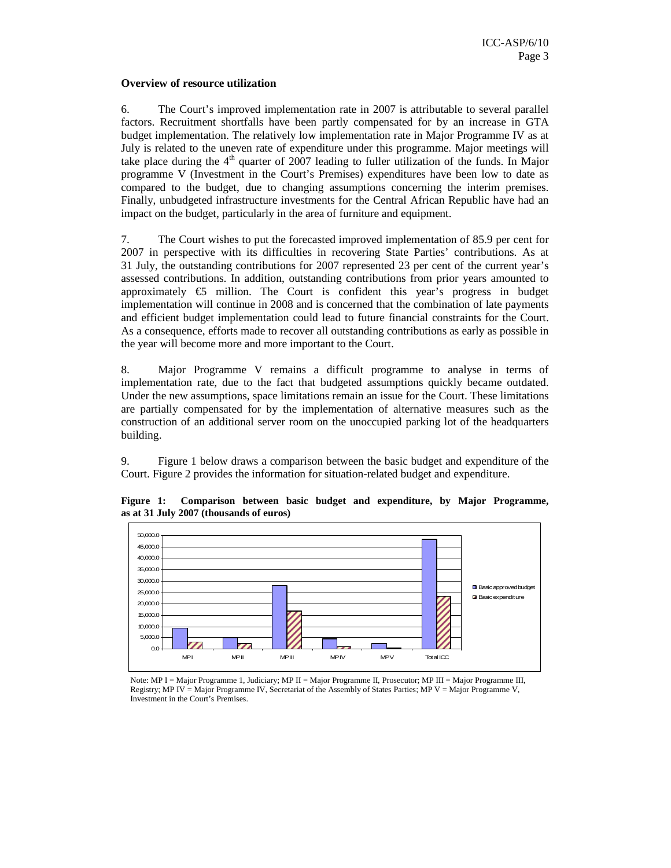### **Overview of resource utilization**

6. The Court's improved implementation rate in 2007 is attributable to several parallel factors. Recruitment shortfalls have been partly compensated for by an increase in GTA budget implementation. The relatively low implementation rate in Major Programme IV as at July is related to the uneven rate of expenditure under this programme. Major meetings will take place during the  $4<sup>th</sup>$  quarter of 2007 leading to fuller utilization of the funds. In Major programme V (Investment in the Court's Premises) expenditures have been low to date as compared to the budget, due to changing assumptions concerning the interim premises. Finally, unbudgeted infrastructure investments for the Central African Republic have had an impact on the budget, particularly in the area of furniture and equipment.

7. The Court wishes to put the forecasted improved implementation of 85.9 per cent for 2007 in perspective with its difficulties in recovering State Parties' contributions. As at 31 July, the outstanding contributions for 2007 represented 23 per cent of the current year's assessed contributions. In addition, outstanding contributions from prior years amounted to approximately  $\epsilon$  million. The Court is confident this year's progress in budget implementation will continue in 2008 and is concerned that the combination of late payments and efficient budget implementation could lead to future financial constraints for the Court. As a consequence, efforts made to recover all outstanding contributions as early as possible in the year will become more and more important to the Court.

8. Major Programme V remains a difficult programme to analyse in terms of implementation rate, due to the fact that budgeted assumptions quickly became outdated. Under the new assumptions, space limitations remain an issue for the Court. These limitations are partially compensated for by the implementation of alternative measures such as the construction of an additional server room on the unoccupied parking lot of the headquarters building.

9. Figure 1 below draws a comparison between the basic budget and expenditure of the Court. Figure 2 provides the information for situation-related budget and expenditure.



**Figure 1: Comparison between basic budget and expenditure, by Major Programme, as at 31 July 2007 (thousands of euros)** 

Note: MP I = Major Programme 1, Judiciary; MP II = Major Programme II, Prosecutor; MP III = Major Programme III, Registry; MP IV = Major Programme IV, Secretariat of the Assembly of States Parties; MP V = Major Programme V, Investment in the Court's Premises.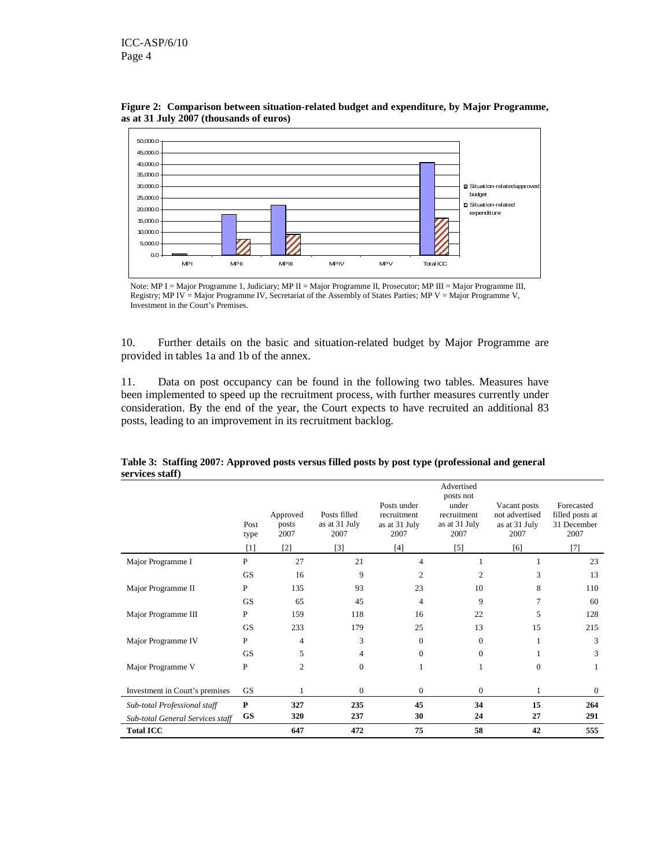



10. Further details on the basic and situation-related budget by Major Programme are provided in tables 1a and 1b of the annex.

11. Data on post occupancy can be found in the following two tables. Measures have been implemented to speed up the recruitment process, with further measures currently under consideration. By the end of the year, the Court expects to have recruited an additional 83 posts, leading to an improvement in its recruitment backlog.

|                                  | Post<br>type<br>$\lceil 1 \rceil$ | Approved<br>posts<br>2007<br>$\lceil 2 \rceil$ | Posts filled<br>as at 31 July<br>2007<br>$[3]$ | Posts under<br>recruitment<br>as at 31 July<br>2007<br>$[4]$ | Advertised<br>posts not<br>under<br>recruitment<br>as at 31 July<br>2007<br>[5] | Vacant posts<br>not advertised<br>as at 31 July<br>2007<br>[6] | Forecasted<br>filled posts at<br>31 December<br>2007<br>$[7]$ |
|----------------------------------|-----------------------------------|------------------------------------------------|------------------------------------------------|--------------------------------------------------------------|---------------------------------------------------------------------------------|----------------------------------------------------------------|---------------------------------------------------------------|
| Major Programme I                | $\mathbf{P}$                      | 27                                             | 21                                             | $\overline{4}$                                               |                                                                                 |                                                                | 23                                                            |
|                                  | <b>GS</b>                         | 16                                             | 9                                              | $\overline{c}$                                               | $\overline{c}$                                                                  | 3                                                              | 13                                                            |
| Major Programme II               | P                                 | 135                                            | 93                                             | 23                                                           | 10                                                                              | 8                                                              | 110                                                           |
|                                  | <b>GS</b>                         | 65                                             | 45                                             | 4                                                            | 9                                                                               | 7                                                              | 60                                                            |
| Major Programme III              | $\mathbf{P}$                      | 159                                            | 118                                            | 16                                                           | 22                                                                              | 5                                                              | 128                                                           |
|                                  | <b>GS</b>                         | 233                                            | 179                                            | 25                                                           | 13                                                                              | 15                                                             | 215                                                           |
| Major Programme IV               | P                                 | $\overline{4}$                                 | 3                                              | $\mathbf{0}$                                                 | $\mathbf{0}$                                                                    | 1                                                              | 3                                                             |
|                                  | <b>GS</b>                         | 5                                              | 4                                              | $\mathbf{0}$                                                 | $\mathbf{0}$                                                                    |                                                                | 3                                                             |
| Major Programme V                | P                                 | $\overline{c}$                                 | $\mathbf{0}$                                   | 1                                                            | 1                                                                               | $\Omega$                                                       | 1                                                             |
| Investment in Court's premises   | <b>GS</b>                         |                                                | $\mathbf{0}$                                   | $\overline{0}$                                               | $\boldsymbol{0}$                                                                |                                                                | $\boldsymbol{0}$                                              |
| Sub-total Professional staff     | $\mathbf{P}$                      | 327                                            | 235                                            | 45                                                           | 34                                                                              | 15                                                             | 264                                                           |
| Sub-total General Services staff | <b>GS</b>                         | 320                                            | 237                                            | 30                                                           | 24                                                                              | 27                                                             | 291                                                           |
| <b>Total ICC</b>                 |                                   | 647                                            | 472                                            | 75                                                           | 58                                                                              | 42                                                             | 555                                                           |

**Table 3: Staffing 2007: Approved posts versus filled posts by post type (professional and general services staff)** 

Note: MP I = Major Programme 1, Judiciary; MP II = Major Programme II, Prosecutor; MP III = Major Programme III, Registry; MP IV = Major Programme IV, Secretariat of the Assembly of States Parties; MP V = Major Programme V, Investment in the Court's Premises.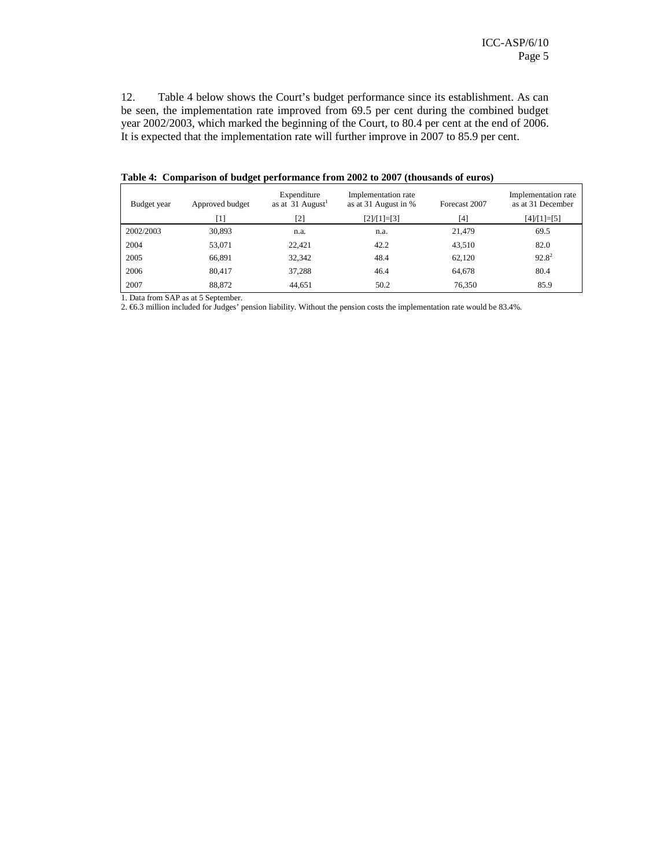12. Table 4 below shows the Court's budget performance since its establishment. As can be seen, the implementation rate improved from 69.5 per cent during the combined budget year 2002/2003, which marked the beginning of the Court, to 80.4 per cent at the end of 2006. It is expected that the implementation rate will further improve in 2007 to 85.9 per cent.

| Budget year | Approved budget | Expenditure<br>as at 31 August <sup>1</sup> | Implementation rate<br>as at 31 August in % | Forecast 2007 | Implementation rate<br>as at 31 December |
|-------------|-----------------|---------------------------------------------|---------------------------------------------|---------------|------------------------------------------|
|             | [1]             | [2]                                         | $[2]/[1]=[3]$                               | [4]           | $[4]/[1]=[5]$                            |
| 2002/2003   | 30,893          | n.a.                                        | n.a.                                        | 21,479        | 69.5                                     |
| 2004        | 53,071          | 22.421                                      | 42.2                                        | 43,510        | 82.0                                     |
| 2005        | 66,891          | 32,342                                      | 48.4                                        | 62,120        | $92.8^2$                                 |
| 2006        | 80,417          | 37,288                                      | 46.4                                        | 64,678        | 80.4                                     |
| 2007        | 88,872          | 44.651                                      | 50.2                                        | 76,350        | 85.9                                     |

**Table 4: Comparison of budget performance from 2002 to 2007 (thousands of euros)** 

1. Data from SAP as at 5 September.

2. €6.3 million included for Judges' pension liability. Without the pension costs the implementation rate would be 83.4%.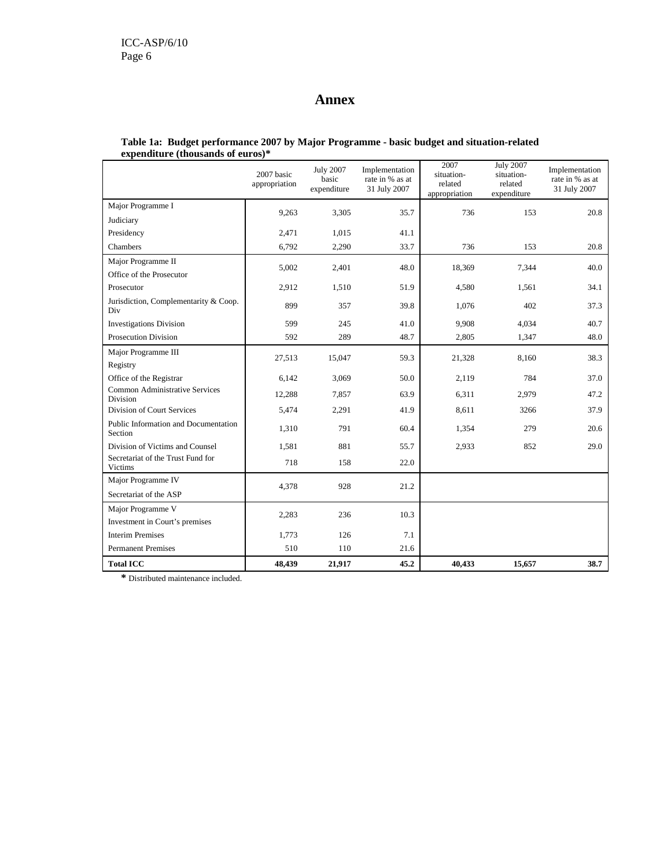## **Annex**

|                                                 | 2007 basic<br>appropriation | <b>July 2007</b><br>basic<br>expenditure | Implementation<br>rate in % as at<br>31 July 2007 | 2007<br>situation-<br>related<br>appropriation | <b>July 2007</b><br>situation-<br>related<br>expenditure | Implementation<br>rate in % as at<br>31 July 2007 |
|-------------------------------------------------|-----------------------------|------------------------------------------|---------------------------------------------------|------------------------------------------------|----------------------------------------------------------|---------------------------------------------------|
| Major Programme I                               | 9,263                       | 3,305                                    | 35.7                                              | 736                                            | 153                                                      | 20.8                                              |
| Judiciary                                       |                             |                                          |                                                   |                                                |                                                          |                                                   |
| Presidency                                      | 2,471                       | 1,015                                    | 41.1                                              |                                                |                                                          |                                                   |
| Chambers                                        | 6,792                       | 2,290                                    | 33.7                                              | 736                                            | 153                                                      | 20.8                                              |
| Major Programme II                              | 5,002                       | 2,401                                    | 48.0                                              | 18,369                                         | 7,344                                                    | 40.0                                              |
| Office of the Prosecutor                        |                             |                                          |                                                   |                                                |                                                          |                                                   |
| Prosecutor                                      | 2,912                       | 1,510                                    | 51.9                                              | 4,580                                          | 1,561                                                    | 34.1                                              |
| Jurisdiction, Complementarity & Coop.<br>Div    | 899                         | 357                                      | 39.8                                              | 1,076                                          | 402                                                      | 37.3                                              |
| <b>Investigations Division</b>                  | 599                         | 245                                      | 41.0                                              | 9,908                                          | 4,034                                                    | 40.7                                              |
| <b>Prosecution Division</b>                     | 592                         | 289                                      | 48.7                                              | 2,805                                          | 1,347                                                    | 48.0                                              |
| Major Programme III                             | 27,513                      | 15,047                                   | 59.3                                              | 21,328                                         | 8,160                                                    | 38.3                                              |
| Registry                                        |                             |                                          |                                                   |                                                |                                                          |                                                   |
| Office of the Registrar                         | 6,142                       | 3,069                                    | 50.0                                              | 2,119                                          | 784                                                      | 37.0                                              |
| Common Administrative Services<br>Division      | 12,288                      | 7,857                                    | 63.9                                              | 6,311                                          | 2,979                                                    | 47.2                                              |
| Division of Court Services                      | 5,474                       | 2,291                                    | 41.9                                              | 8.611                                          | 3266                                                     | 37.9                                              |
| Public Information and Documentation<br>Section | 1,310                       | 791                                      | 60.4                                              | 1,354                                          | 279                                                      | 20.6                                              |
| Division of Victims and Counsel                 | 1,581                       | 881                                      | 55.7                                              | 2,933                                          | 852                                                      | 29.0                                              |
| Secretariat of the Trust Fund for<br>Victims    | 718                         | 158                                      | 22.0                                              |                                                |                                                          |                                                   |
| Major Programme IV                              | 4,378                       | 928                                      | 21.2                                              |                                                |                                                          |                                                   |
| Secretariat of the ASP                          |                             |                                          |                                                   |                                                |                                                          |                                                   |
| Major Programme V                               | 2,283                       | 236                                      | 10.3                                              |                                                |                                                          |                                                   |
| Investment in Court's premises                  |                             |                                          |                                                   |                                                |                                                          |                                                   |
| <b>Interim Premises</b>                         | 1,773                       | 126                                      | 7.1                                               |                                                |                                                          |                                                   |
| <b>Permanent Premises</b>                       | 510                         | 110                                      | 21.6                                              |                                                |                                                          |                                                   |
| <b>Total ICC</b>                                | 48,439                      | 21,917                                   | 45.2                                              | 40,433                                         | 15,657                                                   | 38.7                                              |

#### **Table 1a: Budget performance 2007 by Major Programme - basic budget and situation-related expenditure (thousands of euros)\***

**\*** Distributed maintenance included.